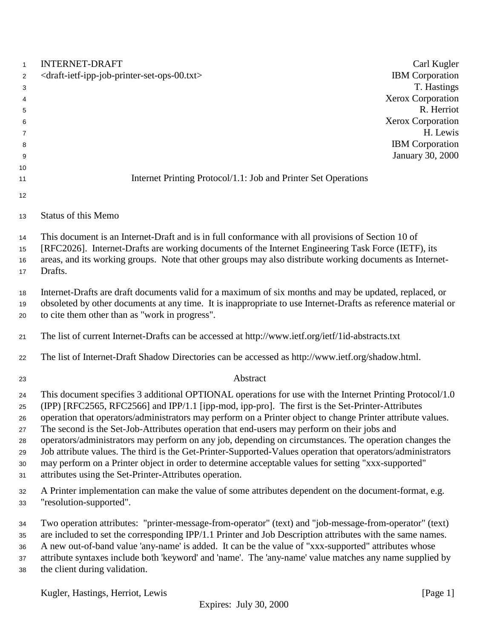| $\mathbf{1}$   | <b>INTERNET-DRAFT</b>                                                                                         | Carl Kugler            |
|----------------|---------------------------------------------------------------------------------------------------------------|------------------------|
| $\overline{2}$ | <draft-ietf-ipp-job-printer-set-ops-00.txt></draft-ietf-ipp-job-printer-set-ops-00.txt>                       | <b>IBM</b> Corporation |
| 3              |                                                                                                               | T. Hastings            |
| 4              |                                                                                                               | Xerox Corporation      |
| $\sqrt{5}$     |                                                                                                               | R. Herriot             |
| 6              |                                                                                                               | Xerox Corporation      |
| 7              |                                                                                                               | H. Lewis               |
| 8              |                                                                                                               | <b>IBM</b> Corporation |
| 9              |                                                                                                               | January 30, 2000       |
| 10             |                                                                                                               |                        |
| 11             | Internet Printing Protocol/1.1: Job and Printer Set Operations                                                |                        |
| 12             |                                                                                                               |                        |
| 13             | <b>Status of this Memo</b>                                                                                    |                        |
| 14             | This document is an Internet-Draft and is in full conformance with all provisions of Section 10 of            |                        |
| 15             | [RFC2026]. Internet-Drafts are working documents of the Internet Engineering Task Force (IETF), its           |                        |
| 16             | areas, and its working groups. Note that other groups may also distribute working documents as Internet-      |                        |
| 17             | Drafts.                                                                                                       |                        |
|                |                                                                                                               |                        |
| 18             | Internet-Drafts are draft documents valid for a maximum of six months and may be updated, replaced, or        |                        |
| 19             | obsoleted by other documents at any time. It is inappropriate to use Internet-Drafts as reference material or |                        |
| 20             | to cite them other than as "work in progress".                                                                |                        |
| 21             | The list of current Internet-Drafts can be accessed at http://www.ietf.org/ietf/1id-abstracts.txt             |                        |
| 22             | The list of Internet-Draft Shadow Directories can be accessed as http://www.ietf.org/shadow.html.             |                        |
| 23             | Abstract                                                                                                      |                        |
| 24             | This document specifies 3 additional OPTIONAL operations for use with the Internet Printing Protocol/1.0      |                        |
| 25             | (IPP) [RFC2565, RFC2566] and IPP/1.1 [ipp-mod, ipp-pro]. The first is the Set-Printer-Attributes              |                        |
| 26             | operation that operators/administrators may perform on a Printer object to change Printer attribute values.   |                        |
| 27             | The second is the Set-Job-Attributes operation that end-users may perform on their jobs and                   |                        |
| 28             | operators/administrators may perform on any job, depending on circumstances. The operation changes the        |                        |
| 29             | Job attribute values. The third is the Get-Printer-Supported-Values operation that operators/administrators   |                        |
| 30             | may perform on a Printer object in order to determine acceptable values for setting "xxx-supported"           |                        |
| 31             | attributes using the Set-Printer-Attributes operation.                                                        |                        |
| 32             | A Printer implementation can make the value of some attributes dependent on the document-format, e.g.         |                        |
| 33             | "resolution-supported".                                                                                       |                        |
| 34             | Two operation attributes: "printer-message-from-operator" (text) and "job-message-from-operator" (text)       |                        |
| 35             | are included to set the corresponding IPP/1.1 Printer and Job Description attributes with the same names.     |                        |
| 36             | A new out-of-band value 'any-name' is added. It can be the value of "xxx-supported" attributes whose          |                        |
| 37             | attribute syntaxes include both 'keyword' and 'name'. The 'any-name' value matches any name supplied by       |                        |
| 38             | the client during validation.                                                                                 |                        |
|                |                                                                                                               |                        |
|                | Kugler, Hastings, Herriot, Lewis                                                                              | [Page 1]               |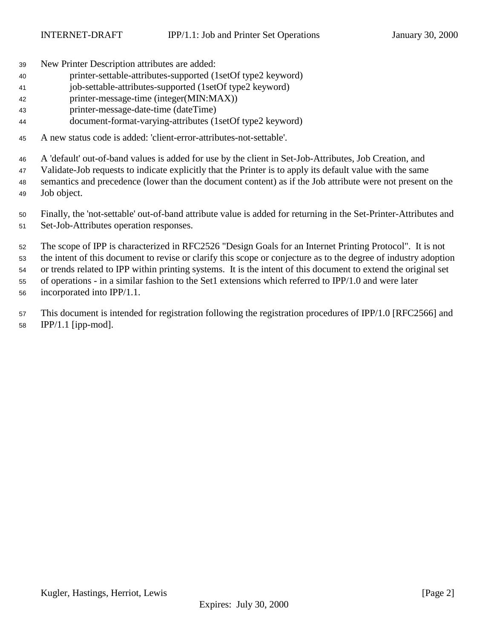New Printer Description attributes are added:

- printer-settable-attributes-supported (1setOf type2 keyword)
- job-settable-attributes-supported (1setOf type2 keyword)
- printer-message-time (integer(MIN:MAX))
- printer-message-date-time (dateTime)
- document-format-varying-attributes (1setOf type2 keyword)
- A new status code is added: 'client-error-attributes-not-settable'.

A 'default' out-of-band values is added for use by the client in Set-Job-Attributes, Job Creation, and

Validate-Job requests to indicate explicitly that the Printer is to apply its default value with the same

- semantics and precedence (lower than the document content) as if the Job attribute were not present on the Job object.
- Finally, the 'not-settable' out-of-band attribute value is added for returning in the Set-Printer-Attributes and Set-Job-Attributes operation responses.

 The scope of IPP is characterized in RFC2526 "Design Goals for an Internet Printing Protocol". It is not the intent of this document to revise or clarify this scope or conjecture as to the degree of industry adoption or trends related to IPP within printing systems. It is the intent of this document to extend the original set of operations - in a similar fashion to the Set1 extensions which referred to IPP/1.0 and were later

incorporated into IPP/1.1.

 This document is intended for registration following the registration procedures of IPP/1.0 [RFC2566] and IPP/1.1 [ipp-mod].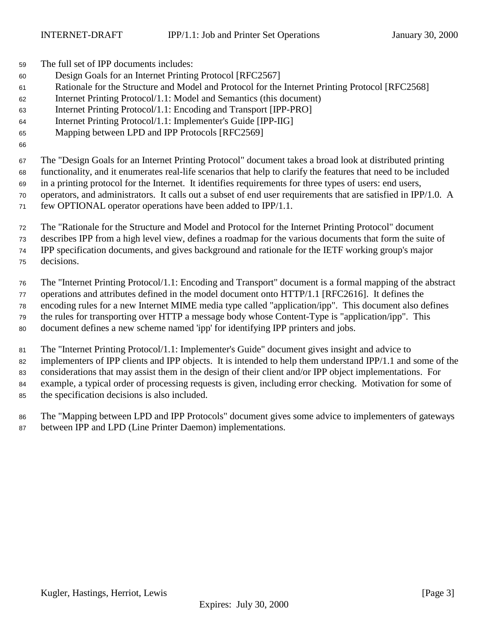The full set of IPP documents includes:

- Design Goals for an Internet Printing Protocol [RFC2567]
- Rationale for the Structure and Model and Protocol for the Internet Printing Protocol [RFC2568]
- Internet Printing Protocol/1.1: Model and Semantics (this document)
- Internet Printing Protocol/1.1: Encoding and Transport [IPP-PRO]
- Internet Printing Protocol/1.1: Implementer's Guide [IPP-IIG]
- Mapping between LPD and IPP Protocols [RFC2569]

 The "Design Goals for an Internet Printing Protocol" document takes a broad look at distributed printing functionality, and it enumerates real-life scenarios that help to clarify the features that need to be included in a printing protocol for the Internet. It identifies requirements for three types of users: end users, operators, and administrators. It calls out a subset of end user requirements that are satisfied in IPP/1.0. A few OPTIONAL operator operations have been added to IPP/1.1.

 The "Rationale for the Structure and Model and Protocol for the Internet Printing Protocol" document describes IPP from a high level view, defines a roadmap for the various documents that form the suite of IPP specification documents, and gives background and rationale for the IETF working group's major decisions.

 The "Internet Printing Protocol/1.1: Encoding and Transport" document is a formal mapping of the abstract operations and attributes defined in the model document onto HTTP/1.1 [RFC2616]. It defines the encoding rules for a new Internet MIME media type called "application/ipp". This document also defines the rules for transporting over HTTP a message body whose Content-Type is "application/ipp". This document defines a new scheme named 'ipp' for identifying IPP printers and jobs.

 The "Internet Printing Protocol/1.1: Implementer's Guide" document gives insight and advice to implementers of IPP clients and IPP objects. It is intended to help them understand IPP/1.1 and some of the considerations that may assist them in the design of their client and/or IPP object implementations. For example, a typical order of processing requests is given, including error checking. Motivation for some of the specification decisions is also included.

 The "Mapping between LPD and IPP Protocols" document gives some advice to implementers of gateways between IPP and LPD (Line Printer Daemon) implementations.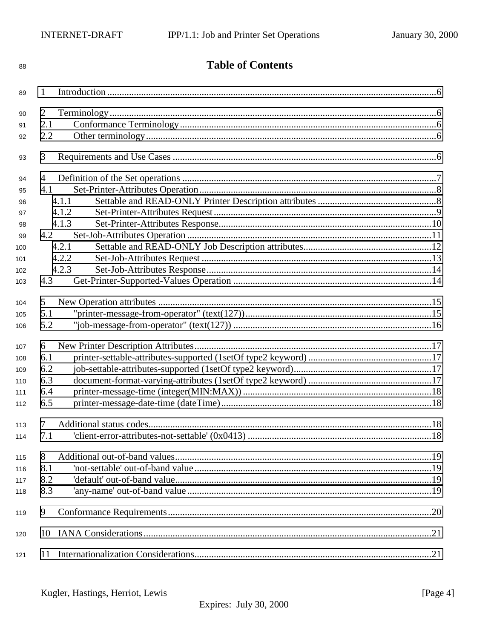| 88  | <b>Table of Contents</b> |  |  |
|-----|--------------------------|--|--|
| 89  | 1                        |  |  |
|     | 2                        |  |  |
| 90  |                          |  |  |
| 91  | 2.1                      |  |  |
| 92  | 2.2                      |  |  |
| 93  | 3                        |  |  |
| 94  | 4                        |  |  |
| 95  | 4.1                      |  |  |
| 96  | 4.1.1                    |  |  |
| 97  | 4.1.2                    |  |  |
| 98  | 4.1.3                    |  |  |
| 99  | 4.2                      |  |  |
| 100 | 4.2.1                    |  |  |
| 101 | 4.2.2                    |  |  |
| 102 | 4.2.3                    |  |  |
| 103 | 4.3                      |  |  |
| 104 | 5                        |  |  |
| 105 | 5.1                      |  |  |
| 106 | 5.2                      |  |  |
| 107 | 6                        |  |  |
| 108 | 6.1                      |  |  |
| 109 | 6.2                      |  |  |
| 110 | 6.3                      |  |  |
| 111 | 6.4                      |  |  |
| 112 | 6.5                      |  |  |
|     |                          |  |  |
| 113 | 7                        |  |  |
| 114 | 7.1                      |  |  |
| 115 | 8                        |  |  |
| 116 | 8.1                      |  |  |
| 117 | 8.2                      |  |  |
| 118 | 8.3                      |  |  |
| 119 | 9                        |  |  |
| 120 | 10                       |  |  |
| 121 | 11                       |  |  |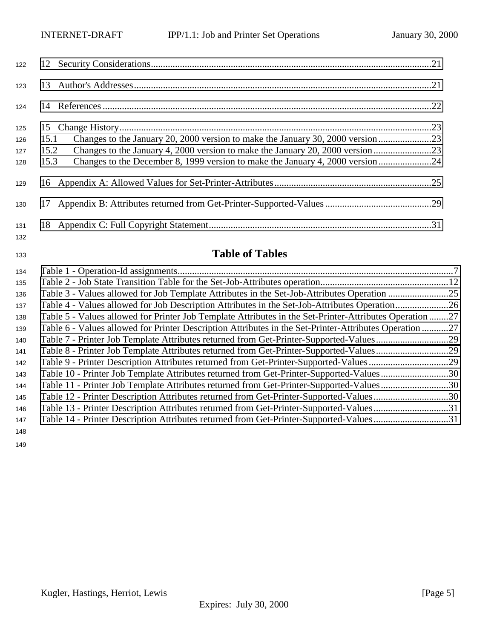| 122        |                                                                                       |  |
|------------|---------------------------------------------------------------------------------------|--|
| 123        |                                                                                       |  |
| 124        |                                                                                       |  |
| 125        |                                                                                       |  |
| 126        | 15.1                                                                                  |  |
| 127        | 15.2                                                                                  |  |
| 128        | Changes to the December 8, 1999 version to make the January 4, 2000 version24<br>15.3 |  |
| 129        |                                                                                       |  |
| 130        |                                                                                       |  |
| 131<br>132 |                                                                                       |  |

# **Table of Tables**

| 134 |                                                                                                         |  |
|-----|---------------------------------------------------------------------------------------------------------|--|
| 135 |                                                                                                         |  |
| 136 |                                                                                                         |  |
| 137 |                                                                                                         |  |
| 138 | Table 5 - Values allowed for Printer Job Template Attributes in the Set-Printer-Attributes Operation 27 |  |
| 139 | Table 6 - Values allowed for Printer Description Attributes in the Set-Printer-Attributes Operation 27  |  |
| 140 | Table 7 - Printer Job Template Attributes returned from Get-Printer-Supported-Values29                  |  |
| 141 | Table 8 - Printer Job Template Attributes returned from Get-Printer-Supported-Values29                  |  |
| 142 |                                                                                                         |  |
| 143 | Table 10 - Printer Job Template Attributes returned from Get-Printer-Supported-Values30                 |  |
| 144 | Table 11 - Printer Job Template Attributes returned from Get-Printer-Supported-Values30                 |  |
| 145 | Table 12 - Printer Description Attributes returned from Get-Printer-Supported-Values30                  |  |
| 146 | Table 13 - Printer Description Attributes returned from Get-Printer-Supported-Values31                  |  |
| 147 | Table 14 - Printer Description Attributes returned from Get-Printer-Supported-Values31                  |  |
| 148 |                                                                                                         |  |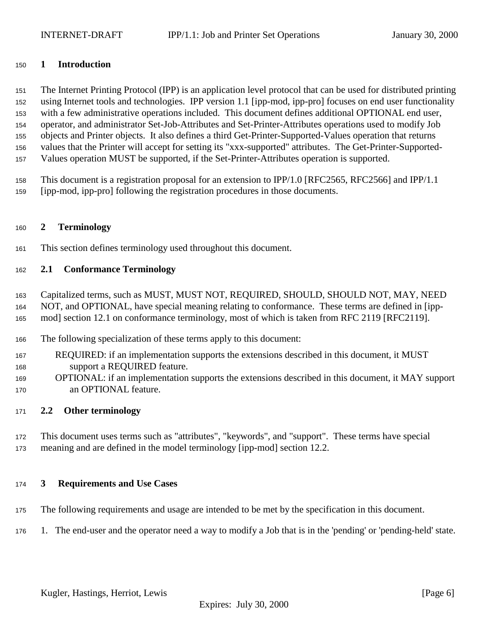#### <span id="page-5-0"></span>**1 Introduction**

 The Internet Printing Protocol (IPP) is an application level protocol that can be used for distributed printing using Internet tools and technologies. IPP version 1.1 [ipp-mod, ipp-pro] focuses on end user functionality with a few administrative operations included. This document defines additional OPTIONAL end user, operator, and administrator Set-Job-Attributes and Set-Printer-Attributes operations used to modify Job objects and Printer objects. It also defines a third Get-Printer-Supported-Values operation that returns values that the Printer will accept for setting its "xxx-supported" attributes. The Get-Printer-Supported-Values operation MUST be supported, if the Set-Printer-Attributes operation is supported.

 This document is a registration proposal for an extension to IPP/1.0 [RFC2565, RFC2566] and IPP/1.1 [ipp-mod, ipp-pro] following the registration procedures in those documents.

#### **2 Terminology**

This section defines terminology used throughout this document.

#### **2.1 Conformance Terminology**

 Capitalized terms, such as MUST, MUST NOT, REQUIRED, SHOULD, SHOULD NOT, MAY, NEED NOT, and OPTIONAL, have special meaning relating to conformance. These terms are defined in [ipp-mod] section 12.1 on conformance terminology, most of which is taken from RFC 2119 [RFC2119].

- The following specialization of these terms apply to this document:
- REQUIRED: if an implementation supports the extensions described in this document, it MUST support a REQUIRED feature.
- OPTIONAL: if an implementation supports the extensions described in this document, it MAY support an OPTIONAL feature.

#### **2.2 Other terminology**

 This document uses terms such as "attributes", "keywords", and "support". These terms have special meaning and are defined in the model terminology [ipp-mod] section 12.2.

#### **3 Requirements and Use Cases**

- The following requirements and usage are intended to be met by the specification in this document.
- 1. The end-user and the operator need a way to modify a Job that is in the 'pending' or 'pending-held' state.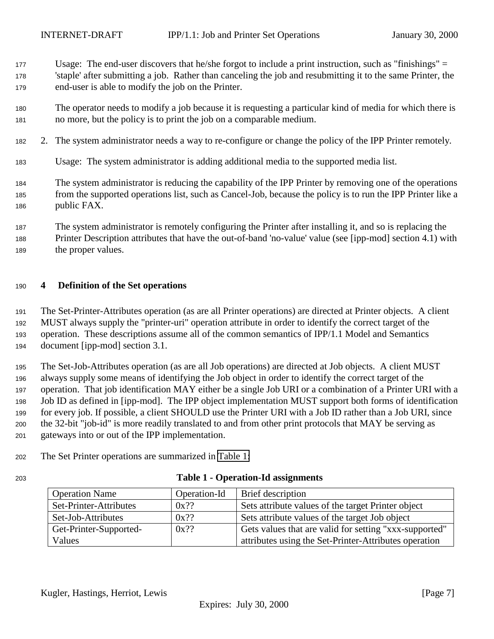- <span id="page-6-0"></span>Usage: The end-user discovers that he/she forgot to include a print instruction, such as "finishings" =
- 'staple' after submitting a job. Rather than canceling the job and resubmitting it to the same Printer, the end-user is able to modify the job on the Printer.
- The operator needs to modify a job because it is requesting a particular kind of media for which there is no more, but the policy is to print the job on a comparable medium.
- 2. The system administrator needs a way to re-configure or change the policy of the IPP Printer remotely.
- Usage: The system administrator is adding additional media to the supported media list.
- The system administrator is reducing the capability of the IPP Printer by removing one of the operations from the supported operations list, such as Cancel-Job, because the policy is to run the IPP Printer like a public FAX.
- The system administrator is remotely configuring the Printer after installing it, and so is replacing the Printer Description attributes that have the out-of-band 'no-value' value (see [ipp-mod] section 4.1) with 189 the proper values.

## **4 Definition of the Set operations**

 The Set-Printer-Attributes operation (as are all Printer operations) are directed at Printer objects. A client MUST always supply the "printer-uri" operation attribute in order to identify the correct target of the operation. These descriptions assume all of the common semantics of IPP/1.1 Model and Semantics document [ipp-mod] section 3.1.

 The Set-Job-Attributes operation (as are all Job operations) are directed at Job objects. A client MUST always supply some means of identifying the Job object in order to identify the correct target of the operation. That job identification MAY either be a single Job URI or a combination of a Printer URI with a Job ID as defined in [ipp-mod]. The IPP object implementation MUST support both forms of identification for every job. If possible, a client SHOULD use the Printer URI with a Job ID rather than a Job URI, since the 32-bit "job-id" is more readily translated to and from other print protocols that MAY be serving as gateways into or out of the IPP implementation.

- The Set Printer operations are summarized in Table 1:
- 

| 203 | <b>Table 1 - Operation-Id assignments</b> |
|-----|-------------------------------------------|
|     |                                           |

| <b>Operation Name</b>  | Operation-Id | Brief description                                      |
|------------------------|--------------|--------------------------------------------------------|
| Set-Printer-Attributes | $0x$ ??      | Sets attribute values of the target Printer object     |
| Set-Job-Attributes     | $0x$ ??      | Sets attribute values of the target Job object         |
| Get-Printer-Supported- | $0x$ ??      | Gets values that are valid for setting "xxx-supported" |
| Values                 |              | attributes using the Set-Printer-Attributes operation  |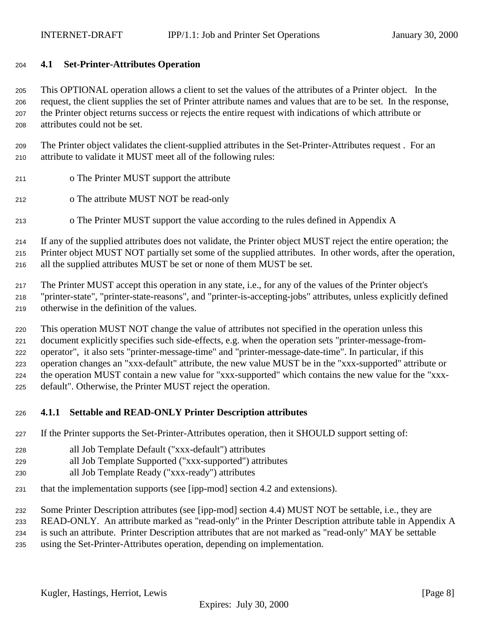#### <span id="page-7-0"></span>**4.1 Set-Printer-Attributes Operation**

 This OPTIONAL operation allows a client to set the values of the attributes of a Printer object. In the request, the client supplies the set of Printer attribute names and values that are to be set. In the response, the Printer object returns success or rejects the entire request with indications of which attribute or attributes could not be set.

 The Printer object validates the client-supplied attributes in the Set-Printer-Attributes request . For an attribute to validate it MUST meet all of the following rules:

- o The Printer MUST support the attribute
- o The attribute MUST NOT be read-only
- o The Printer MUST support the value according to the rules defined in Appendix A

 If any of the supplied attributes does not validate, the Printer object MUST reject the entire operation; the Printer object MUST NOT partially set some of the supplied attributes. In other words, after the operation, all the supplied attributes MUST be set or none of them MUST be set.

 The Printer MUST accept this operation in any state, i.e., for any of the values of the Printer object's "printer-state", "printer-state-reasons", and "printer-is-accepting-jobs" attributes, unless explicitly defined otherwise in the definition of the values.

 This operation MUST NOT change the value of attributes not specified in the operation unless this document explicitly specifies such side-effects, e.g. when the operation sets "printer-message-from- operator", it also sets "printer-message-time" and "printer-message-date-time". In particular, if this operation changes an "xxx-default" attribute, the new value MUST be in the "xxx-supported" attribute or the operation MUST contain a new value for "xxx-supported" which contains the new value for the "xxx-default". Otherwise, the Printer MUST reject the operation.

#### **4.1.1 Settable and READ-ONLY Printer Description attributes**

If the Printer supports the Set-Printer-Attributes operation, then it SHOULD support setting of:

- all Job Template Default ("xxx-default") attributes
- all Job Template Supported ("xxx-supported") attributes
- all Job Template Ready ("xxx-ready") attributes
- that the implementation supports (see [ipp-mod] section 4.2 and extensions).
- Some Printer Description attributes (see [ipp-mod] section 4.4) MUST NOT be settable, i.e., they are

 READ-ONLY. An attribute marked as "read-only" in the Printer Description attribute table in Appendix A is such an attribute. Printer Description attributes that are not marked as "read-only" MAY be settable

using the Set-Printer-Attributes operation, depending on implementation.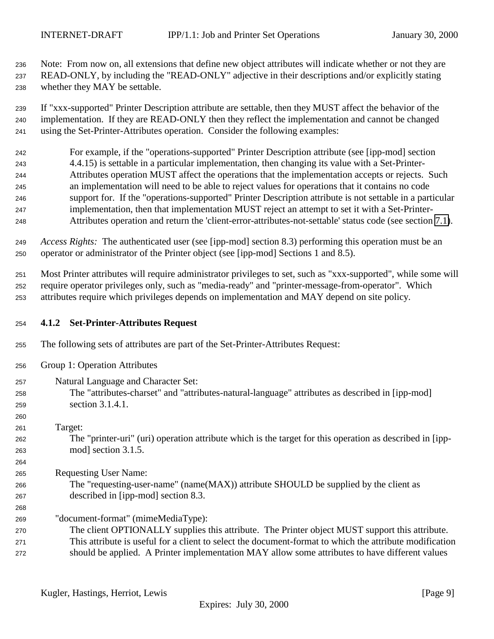<span id="page-8-0"></span> Note: From now on, all extensions that define new object attributes will indicate whether or not they are READ-ONLY, by including the "READ-ONLY" adjective in their descriptions and/or explicitly stating whether they MAY be settable.

 If "xxx-supported" Printer Description attribute are settable, then they MUST affect the behavior of the implementation. If they are READ-ONLY then they reflect the implementation and cannot be changed using the Set-Printer-Attributes operation. Consider the following examples:

 For example, if the "operations-supported" Printer Description attribute (see [ipp-mod] section 4.4.15) is settable in a particular implementation, then changing its value with a Set-Printer- Attributes operation MUST affect the operations that the implementation accepts or rejects. Such an implementation will need to be able to reject values for operations that it contains no code support for. If the "operations-supported" Printer Description attribute is not settable in a particular implementation, then that implementation MUST reject an attempt to set it with a Set-Printer-Attributes operation and return the 'client-error-attributes-not-settable' status code (see section [7.1\)](#page-17-0).

 *Access Rights:*The authenticated user (see [ipp-mod] section 8.3) performing this operation must be an operator or administrator of the Printer object (see [ipp-mod] Sections 1 and 8.5).

 Most Printer attributes will require administrator privileges to set, such as "xxx-supported", while some will require operator privileges only, such as "media-ready" and "printer-message-from-operator". Which attributes require which privileges depends on implementation and MAY depend on site policy.

- **4.1.2 Set-Printer-Attributes Request**
- The following sets of attributes are part of the Set-Printer-Attributes Request:
- Group 1: Operation Attributes
- Natural Language and Character Set:
- The "attributes-charset" and "attributes-natural-language" attributes as described in [ipp-mod] section 3.1.4.1.
- Target:

 The "printer-uri" (uri) operation attribute which is the target for this operation as described in [ipp-mod] section 3.1.5.

Requesting User Name:

- The "requesting-user-name" (name(MAX)) attribute SHOULD be supplied by the client as described in [ipp-mod] section 8.3.
- "document-format" (mimeMediaType):
- The client OPTIONALLY supplies this attribute. The Printer object MUST support this attribute. This attribute is useful for a client to select the document-format to which the attribute modification
- should be applied. A Printer implementation MAY allow some attributes to have different values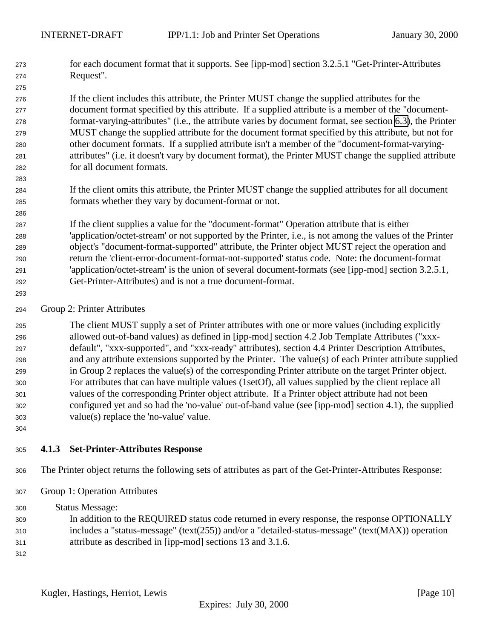<span id="page-9-0"></span> for each document format that it supports. See [ipp-mod] section 3.2.5.1 "Get-Printer-Attributes Request".

 If the client includes this attribute, the Printer MUST change the supplied attributes for the document format specified by this attribute. If a supplied attribute is a member of the "document- format-varying-attributes" (i.e., the attribute varies by document format, see section [6.3\)](#page-16-0), the Printer MUST change the supplied attribute for the document format specified by this attribute, but not for other document formats. If a supplied attribute isn't a member of the "document-format-varying- attributes" (i.e. it doesn't vary by document format), the Printer MUST change the supplied attribute for all document formats.

 If the client omits this attribute, the Printer MUST change the supplied attributes for all document formats whether they vary by document-format or not.

 If the client supplies a value for the "document-format" Operation attribute that is either 'application/octet-stream' or not supported by the Printer, i.e., is not among the values of the Printer object's "document-format-supported" attribute, the Printer object MUST reject the operation and return the 'client-error-document-format-not-supported' status code. Note: the document-format 'application/octet-stream' is the union of several document-formats (see [ipp-mod] section 3.2.5.1, Get-Printer-Attributes) and is not a true document-format.

Group 2: Printer Attributes

 The client MUST supply a set of Printer attributes with one or more values (including explicitly allowed out-of-band values) as defined in [ipp-mod] section 4.2 Job Template Attributes ("xxx- default", "xxx-supported", and "xxx-ready" attributes), section 4.4 Printer Description Attributes, and any attribute extensions supported by the Printer. The value(s) of each Printer attribute supplied in Group 2 replaces the value(s) of the corresponding Printer attribute on the target Printer object. For attributes that can have multiple values (1setOf), all values supplied by the client replace all values of the corresponding Printer object attribute. If a Printer object attribute had not been configured yet and so had the 'no-value' out-of-band value (see [ipp-mod] section 4.1), the supplied value(s) replace the 'no-value' value.

#### **4.1.3 Set-Printer-Attributes Response**

- The Printer object returns the following sets of attributes as part of the Get-Printer-Attributes Response:
- Group 1: Operation Attributes

Status Message:

- In addition to the REQUIRED status code returned in every response, the response OPTIONALLY includes a "status-message" (text(255)) and/or a "detailed-status-message" (text(MAX)) operation
- attribute as described in [ipp-mod] sections 13 and 3.1.6.
-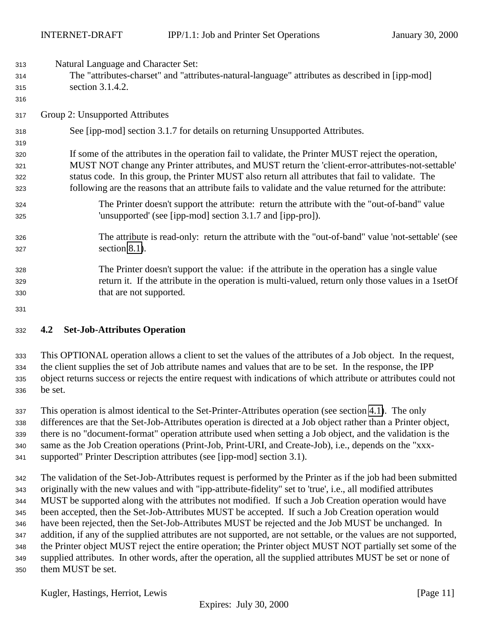<span id="page-10-0"></span>Natural Language and Character Set:

- The "attributes-charset" and "attributes-natural-language" attributes as described in [ipp-mod] section 3.1.4.2.
- Group 2: Unsupported Attributes
- See [ipp-mod] section 3.1.7 for details on returning Unsupported Attributes.

## If some of the attributes in the operation fail to validate, the Printer MUST reject the operation, MUST NOT change any Printer attributes, and MUST return the 'client-error-attributes-not-settable' status code. In this group, the Printer MUST also return all attributes that fail to validate. The following are the reasons that an attribute fails to validate and the value returned for the attribute:

- The Printer doesn't support the attribute: return the attribute with the "out-of-band" value 'unsupported' (see [ipp-mod] section 3.1.7 and [ipp-pro]).
- The attribute is read-only: return the attribute with the "out-of-band" value 'not-settable' (see section [8.1\)](#page-18-0).
- The Printer doesn't support the value: if the attribute in the operation has a single value return it. If the attribute in the operation is multi-valued, return only those values in a 1setOf that are not supported.
- 

#### **4.2 Set-Job-Attributes Operation**

 This OPTIONAL operation allows a client to set the values of the attributes of a Job object. In the request, the client supplies the set of Job attribute names and values that are to be set. In the response, the IPP object returns success or rejects the entire request with indications of which attribute or attributes could not be set.

 This operation is almost identical to the Set-Printer-Attributes operation (see section [4.1\)](#page-7-0). The only differences are that the Set-Job-Attributes operation is directed at a Job object rather than a Printer object, there is no "document-format" operation attribute used when setting a Job object, and the validation is the same as the Job Creation operations (Print-Job, Print-URI, and Create-Job), i.e., depends on the "xxx-supported" Printer Description attributes (see [ipp-mod] section 3.1).

 The validation of the Set-Job-Attributes request is performed by the Printer as if the job had been submitted originally with the new values and with "ipp-attribute-fidelity" set to 'true', i.e., all modified attributes MUST be supported along with the attributes not modified. If such a Job Creation operation would have been accepted, then the Set-Job-Attributes MUST be accepted. If such a Job Creation operation would have been rejected, then the Set-Job-Attributes MUST be rejected and the Job MUST be unchanged. In addition, if any of the supplied attributes are not supported, are not settable, or the values are not supported, the Printer object MUST reject the entire operation; the Printer object MUST NOT partially set some of the supplied attributes. In other words, after the operation, all the supplied attributes MUST be set or none of them MUST be set.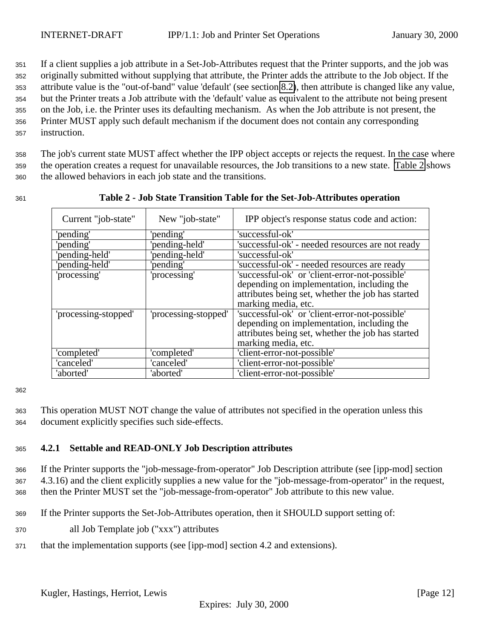<span id="page-11-0"></span> If a client supplies a job attribute in a Set-Job-Attributes request that the Printer supports, and the job was originally submitted without supplying that attribute, the Printer adds the attribute to the Job object. If the attribute value is the "out-of-band" value 'default' (see section [8.2\)](#page-18-0), then attribute is changed like any value, but the Printer treats a Job attribute with the 'default' value as equivalent to the attribute not being present on the Job, i.e. the Printer uses its defaulting mechanism. As when the Job attribute is not present, the Printer MUST apply such default mechanism if the document does not contain any corresponding instruction.

<sup>358</sup> The job's current state MUST affect whether the IPP object accepts or rejects the request. In the case where <sup>359</sup> the operation creates a request for unavailable resources, the Job transitions to a new state. Table 2 shows <sup>360</sup> the allowed behaviors in each job state and the transitions.

Current "job-state" | New "job-state" | IPP object's response status code and action: 'pending' 'pending' 'successful-ok' 'pending' 'pending-held' 'successful-ok' - needed resources are not ready 'pending-held' 'pending-held' 'successful-ok' 'pending-held' 'pending' 'successful-ok' - needed resources are ready 'processing' 'processing' 'successful-ok' or 'client-error-not-possible' depending on implementation, including the attributes being set, whether the job has started marking media, etc. 'processing-stopped' 'processing-stopped' 'successful-ok' or 'client-error-not-possible' depending on implementation, including the attributes being set, whether the job has started marking media, etc. 'completed' 'completed' 'client-error-not-possible' 'canceled' 'canceled' 'client-error-not-possible' 'client-error-not-possible'

<sup>361</sup> **Table 2 - Job State Transition Table for the Set-Job-Attributes operation**

#### 362

<sup>363</sup> This operation MUST NOT change the value of attributes not specified in the operation unless this <sup>364</sup> document explicitly specifies such side-effects.

## <sup>365</sup> **4.2.1 Settable and READ-ONLY Job Description attributes**

<sup>366</sup> If the Printer supports the "job-message-from-operator" Job Description attribute (see [ipp-mod] section <sup>367</sup> 4.3.16) and the client explicitly supplies a new value for the "job-message-from-operator" in the request, <sup>368</sup> then the Printer MUST set the "job-message-from-operator" Job attribute to this new value.

- <sup>369</sup> If the Printer supports the Set-Job-Attributes operation, then it SHOULD support setting of:
- <sup>370</sup> all Job Template job ("xxx") attributes
- <sup>371</sup> that the implementation supports (see [ipp-mod] section 4.2 and extensions).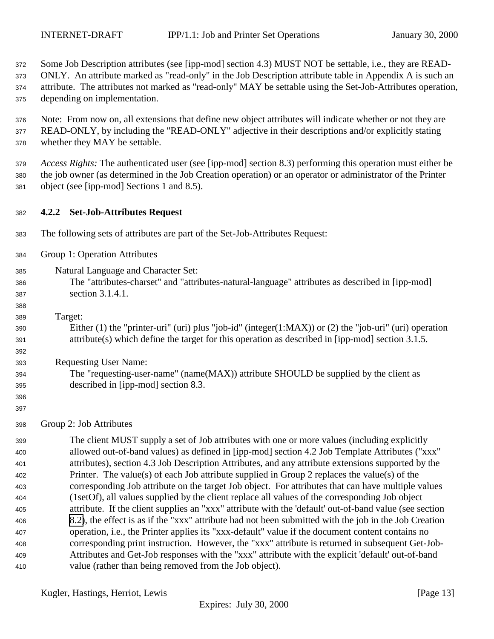<span id="page-12-0"></span>

Some Job Description attributes (see [ipp-mod] section 4.3) MUST NOT be settable, i.e., they are READ-

 ONLY. An attribute marked as "read-only" in the Job Description attribute table in Appendix A is such an attribute. The attributes not marked as "read-only" MAY be settable using the Set-Job-Attributes operation,

depending on implementation.

 Note: From now on, all extensions that define new object attributes will indicate whether or not they are READ-ONLY, by including the "READ-ONLY" adjective in their descriptions and/or explicitly stating whether they MAY be settable.

 *Access Rights:* The authenticated user (see [ipp-mod] section 8.3) performing this operation must either be the job owner (as determined in the Job Creation operation) or an operator or administrator of the Printer object (see [ipp-mod] Sections 1 and 8.5).

## **4.2.2 Set-Job-Attributes Request**

- The following sets of attributes are part of the Set-Job-Attributes Request:
- Group 1: Operation Attributes
- Natural Language and Character Set:
- The "attributes-charset" and "attributes-natural-language" attributes as described in [ipp-mod] section 3.1.4.1.
- Target:

 Either (1) the "printer-uri" (uri) plus "job-id" (integer(1:MAX)) or (2) the "job-uri" (uri) operation attribute(s) which define the target for this operation as described in [ipp-mod] section 3.1.5.

Requesting User Name:

- The "requesting-user-name" (name(MAX)) attribute SHOULD be supplied by the client as described in [ipp-mod] section 8.3.
- 

Group 2: Job Attributes

 The client MUST supply a set of Job attributes with one or more values (including explicitly allowed out-of-band values) as defined in [ipp-mod] section 4.2 Job Template Attributes ("xxx" attributes), section 4.3 Job Description Attributes, and any attribute extensions supported by the Printer. The value(s) of each Job attribute supplied in Group 2 replaces the value(s) of the corresponding Job attribute on the target Job object. For attributes that can have multiple values (1setOf), all values supplied by the client replace all values of the corresponding Job object attribute. If the client supplies an "xxx" attribute with the 'default' out-of-band value (see section [8.2\)](#page-18-0), the effect is as if the "xxx" attribute had not been submitted with the job in the Job Creation operation, i.e., the Printer applies its "xxx-default" value if the document content contains no corresponding print instruction. However, the "xxx" attribute is returned in subsequent Get-Job- Attributes and Get-Job responses with the "xxx" attribute with the explicit 'default' out-of-band value (rather than being removed from the Job object).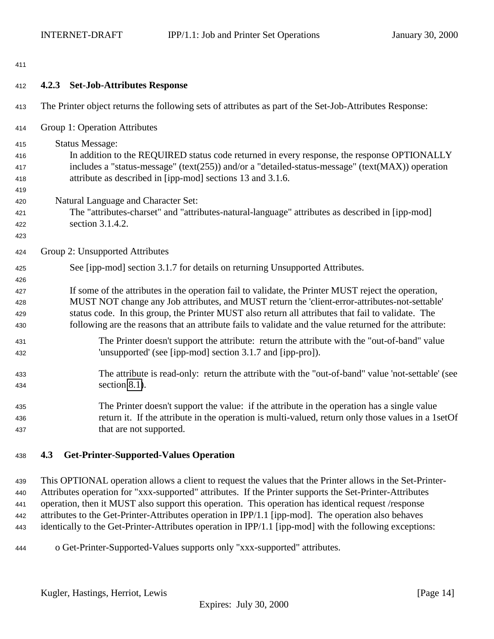- <span id="page-13-0"></span>
- **4.2.3 Set-Job-Attributes Response** The Printer object returns the following sets of attributes as part of the Set-Job-Attributes Response: Group 1: Operation Attributes Status Message: In addition to the REQUIRED status code returned in every response, the response OPTIONALLY includes a "status-message" (text(255)) and/or a "detailed-status-message" (text(MAX)) operation attribute as described in [ipp-mod] sections 13 and 3.1.6. Natural Language and Character Set: The "attributes-charset" and "attributes-natural-language" attributes as described in [ipp-mod] section 3.1.4.2. Group 2: Unsupported Attributes See [ipp-mod] section 3.1.7 for details on returning Unsupported Attributes. If some of the attributes in the operation fail to validate, the Printer MUST reject the operation, MUST NOT change any Job attributes, and MUST return the 'client-error-attributes-not-settable' status code. In this group, the Printer MUST also return all attributes that fail to validate. The following are the reasons that an attribute fails to validate and the value returned for the attribute: The Printer doesn't support the attribute: return the attribute with the "out-of-band" value 'unsupported' (see [ipp-mod] section 3.1.7 and [ipp-pro]). The attribute is read-only: return the attribute with the "out-of-band" value 'not-settable' (see section [8.1\)](#page-18-0). The Printer doesn't support the value: if the attribute in the operation has a single value return it. If the attribute in the operation is multi-valued, return only those values in a 1setOf that are not supported.

## **4.3 Get-Printer-Supported-Values Operation**

 This OPTIONAL operation allows a client to request the values that the Printer allows in the Set-Printer- Attributes operation for "xxx-supported" attributes. If the Printer supports the Set-Printer-Attributes operation, then it MUST also support this operation. This operation has identical request /response attributes to the Get-Printer-Attributes operation in IPP/1.1 [ipp-mod]. The operation also behaves identically to the Get-Printer-Attributes operation in IPP/1.1 [ipp-mod] with the following exceptions:

o Get-Printer-Supported-Values supports only "xxx-supported" attributes.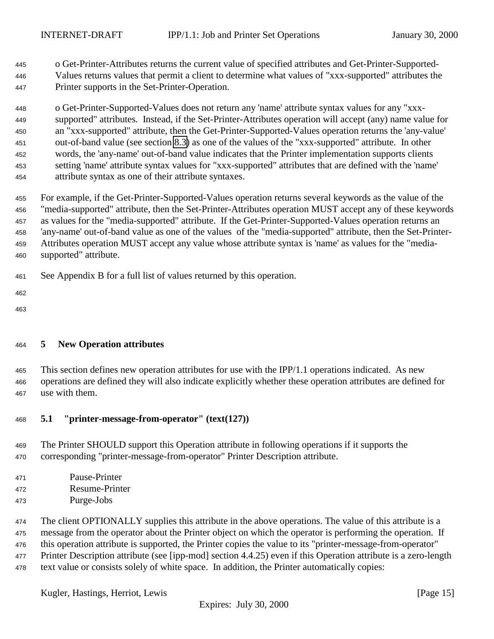<span id="page-14-0"></span> o Get-Printer-Attributes returns the current value of specified attributes and Get-Printer-Supported- Values returns values that permit a client to determine what values of "xxx-supported" attributes the Printer supports in the Set-Printer-Operation.

 o Get-Printer-Supported-Values does not return any 'name' attribute syntax values for any "xxx- supported" attributes. Instead, if the Set-Printer-Attributes operation will accept (any) name value for an "xxx-supported" attribute, then the Get-Printer-Supported-Values operation returns the 'any-value' out-of-band value (see section [8.3\)](#page-18-0) as one of the values of the "xxx-supported" attribute. In other words, the 'any-name' out-of-band value indicates that the Printer implementation supports clients setting 'name' attribute syntax values for "xxx-supported" attributes that are defined with the 'name' attribute syntax as one of their attribute syntaxes.

 For example, if the Get-Printer-Supported-Values operation returns several keywords as the value of the "media-supported" attribute, then the Set-Printer-Attributes operation MUST accept any of these keywords as values for the "media-supported" attribute. If the Get-Printer-Supported-Values operation returns an 'any-name' out-of-band value as one of the values of the "media-supported" attribute, then the Set-Printer- Attributes operation MUST accept any value whose attribute syntax is 'name' as values for the "media-supported" attribute.

- See Appendix B for a full list of values returned by this operation.
- 
- 

## **5 New Operation attributes**

 This section defines new operation attributes for use with the IPP/1.1 operations indicated. As new operations are defined they will also indicate explicitly whether these operation attributes are defined for use with them.

## **5.1 "printer-message-from-operator" (text(127))**

- The Printer SHOULD support this Operation attribute in following operations if it supports the corresponding "printer-message-from-operator" Printer Description attribute.
- Pause-Printer
- Resume-Printer
- Purge-Jobs

 The client OPTIONALLY supplies this attribute in the above operations. The value of this attribute is a message from the operator about the Printer object on which the operator is performing the operation. If this operation attribute is supported, the Printer copies the value to its "printer-message-from-operator" 477 Printer Description attribute (see [ipp-mod] section 4.4.25) even if this Operation attribute is a zero-length text value or consists solely of white space. In addition, the Printer automatically copies: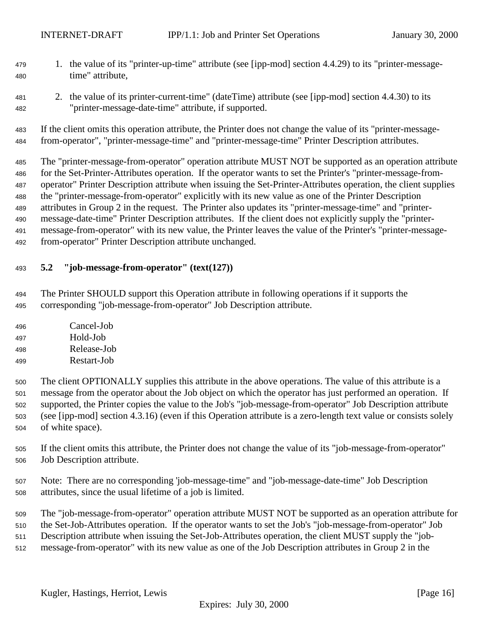- <span id="page-15-0"></span> 1. the value of its "printer-up-time" attribute (see [ipp-mod] section 4.4.29) to its "printer-message-time" attribute,
- 2. the value of its printer-current-time" (dateTime) attribute (see [ipp-mod] section 4.4.30) to its "printer-message-date-time" attribute, if supported.

 If the client omits this operation attribute, the Printer does not change the value of its "printer-message-from-operator", "printer-message-time" and "printer-message-time" Printer Description attributes.

 The "printer-message-from-operator" operation attribute MUST NOT be supported as an operation attribute for the Set-Printer-Attributes operation. If the operator wants to set the Printer's "printer-message-from- operator" Printer Description attribute when issuing the Set-Printer-Attributes operation, the client supplies the "printer-message-from-operator" explicitly with its new value as one of the Printer Description attributes in Group 2 in the request. The Printer also updates its "printer-message-time" and "printer- message-date-time" Printer Description attributes. If the client does not explicitly supply the "printer- message-from-operator" with its new value, the Printer leaves the value of the Printer's "printer-message-from-operator" Printer Description attribute unchanged.

## **5.2 "job-message-from-operator" (text(127))**

 The Printer SHOULD support this Operation attribute in following operations if it supports the corresponding "job-message-from-operator" Job Description attribute.

- Cancel-Job Hold-Job Release-Job
- Restart-Job
- The client OPTIONALLY supplies this attribute in the above operations. The value of this attribute is a message from the operator about the Job object on which the operator has just performed an operation. If supported, the Printer copies the value to the Job's "job-message-from-operator" Job Description attribute (see [ipp-mod] section 4.3.16) (even if this Operation attribute is a zero-length text value or consists solely of white space).
- If the client omits this attribute, the Printer does not change the value of its "job-message-from-operator" Job Description attribute.
- Note: There are no corresponding 'job-message-time" and "job-message-date-time" Job Description attributes, since the usual lifetime of a job is limited.
- The "job-message-from-operator" operation attribute MUST NOT be supported as an operation attribute for
- the Set-Job-Attributes operation. If the operator wants to set the Job's "job-message-from-operator" Job
- Description attribute when issuing the Set-Job-Attributes operation, the client MUST supply the "job-
- message-from-operator" with its new value as one of the Job Description attributes in Group 2 in the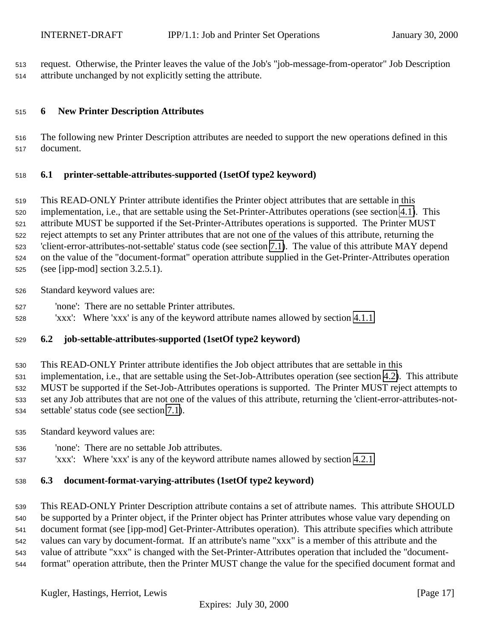<span id="page-16-0"></span> request. Otherwise, the Printer leaves the value of the Job's "job-message-from-operator" Job Description attribute unchanged by not explicitly setting the attribute.

## **6 New Printer Description Attributes**

 The following new Printer Description attributes are needed to support the new operations defined in this document.

## **6.1 printer-settable-attributes-supported (1setOf type2 keyword)**

 This READ-ONLY Printer attribute identifies the Printer object attributes that are settable in this implementation, i.e., that are settable using the Set-Printer-Attributes operations (see section [4.1\)](#page-7-0). This attribute MUST be supported if the Set-Printer-Attributes operations is supported. The Printer MUST reject attempts to set any Printer attributes that are not one of the values of this attribute, returning the 'client-error-attributes-not-settable' status code (see section [7.1\)](#page-17-0). The value of this attribute MAY depend on the value of the "document-format" operation attribute supplied in the Get-Printer-Attributes operation (see [ipp-mod] section 3.2.5.1).

- Standard keyword values are:
- 'none': There are no settable Printer attributes.
- 'xxx': Where 'xxx' is any of the keyword attribute names allowed by section [4.1.1](#page-7-0)

#### **6.2 job-settable-attributes-supported (1setOf type2 keyword)**

 This READ-ONLY Printer attribute identifies the Job object attributes that are settable in this implementation, i.e., that are settable using the Set-Job-Attributes operation (see section [4.2\)](#page-10-0). This attribute MUST be supported if the Set-Job-Attributes operations is supported. The Printer MUST reject attempts to set any Job attributes that are not one of the values of this attribute, returning the 'client-error-attributes-not-settable' status code (see section [7.1\)](#page-17-0).

- Standard keyword values are:
- 'none': There are no settable Job attributes.
- 'xxx': Where 'xxx' is any of the keyword attribute names allowed by section [4.2.1.](#page-11-0)

## **6.3 document-format-varying-attributes (1setOf type2 keyword)**

 This READ-ONLY Printer Description attribute contains a set of attribute names. This attribute SHOULD be supported by a Printer object, if the Printer object has Printer attributes whose value vary depending on document format (see [ipp-mod] Get-Printer-Attributes operation). This attribute specifies which attribute values can vary by document-format. If an attribute's name "xxx" is a member of this attribute and the value of attribute "xxx" is changed with the Set-Printer-Attributes operation that included the "document-format" operation attribute, then the Printer MUST change the value for the specified document format and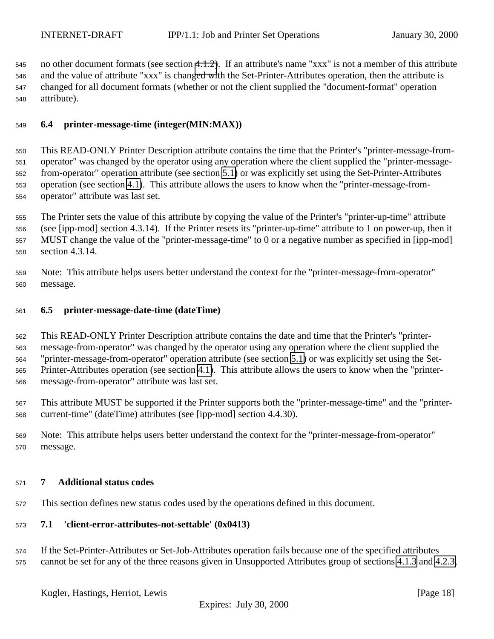<span id="page-17-0"></span> no other document formats (see section [4.1.2\)](#page-8-0). If an attribute's name "xxx" is not a member of this attribute and the value of attribute "xxx" is changed with the Set-Printer-Attributes operation, then the attribute is changed for all document formats (whether or not the client supplied the "document-format" operation attribute).

## **6.4 printer-message-time (integer(MIN:MAX))**

 This READ-ONLY Printer Description attribute contains the time that the Printer's "printer-message-from- operator" was changed by the operator using any operation where the client supplied the "printer-message- from-operator" operation attribute (see section [5.1\)](#page-14-0) or was explicitly set using the Set-Printer-Attributes operation (see section [4.1\)](#page-7-0). This attribute allows the users to know when the "printer-message-from-operator" attribute was last set.

 The Printer sets the value of this attribute by copying the value of the Printer's "printer-up-time" attribute (see [ipp-mod] section 4.3.14). If the Printer resets its "printer-up-time" attribute to 1 on power-up, then it MUST change the value of the "printer-message-time" to 0 or a negative number as specified in [ipp-mod] section 4.3.14.

 Note: This attribute helps users better understand the context for the "printer-message-from-operator" message.

#### **6.5 printer-message-date-time (dateTime)**

 This READ-ONLY Printer Description attribute contains the date and time that the Printer's "printer- message-from-operator" was changed by the operator using any operation where the client supplied the "printer-message-from-operator" operation attribute (see section [5.1\)](#page-14-0) or was explicitly set using the Set- Printer-Attributes operation (see section [4.1\)](#page-7-0). This attribute allows the users to know when the "printer-message-from-operator" attribute was last set.

 This attribute MUST be supported if the Printer supports both the "printer-message-time" and the "printer-current-time" (dateTime) attributes (see [ipp-mod] section 4.4.30).

 Note: This attribute helps users better understand the context for the "printer-message-from-operator" message.

#### **7 Additional status codes**

This section defines new status codes used by the operations defined in this document.

## **7.1 'client-error-attributes-not-settable' (0x0413)**

 If the Set-Printer-Attributes or Set-Job-Attributes operation fails because one of the specified attributes cannot be set for any of the three reasons given in Unsupported Attributes group of sections [4.1.3](#page-9-0) and [4.2.3,](#page-13-0)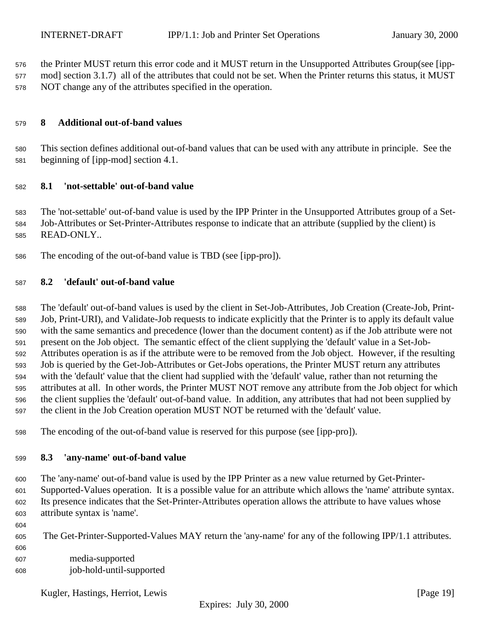<span id="page-18-0"></span>the Printer MUST return this error code and it MUST return in the Unsupported Attributes Group(see [ipp-

 mod] section 3.1.7) all of the attributes that could not be set. When the Printer returns this status, it MUST NOT change any of the attributes specified in the operation.

## **8 Additional out-of-band values**

 This section defines additional out-of-band values that can be used with any attribute in principle. See the beginning of [ipp-mod] section 4.1.

#### **8.1 'not-settable' out-of-band value**

 The 'not-settable' out-of-band value is used by the IPP Printer in the Unsupported Attributes group of a Set- Job-Attributes or Set-Printer-Attributes response to indicate that an attribute (supplied by the client) is READ-ONLY..

The encoding of the out-of-band value is TBD (see [ipp-pro]).

### **8.2 'default' out-of-band value**

 The 'default' out-of-band values is used by the client in Set-Job-Attributes, Job Creation (Create-Job, Print- Job, Print-URI), and Validate-Job requests to indicate explicitly that the Printer is to apply its default value with the same semantics and precedence (lower than the document content) as if the Job attribute were not present on the Job object. The semantic effect of the client supplying the 'default' value in a Set-Job- Attributes operation is as if the attribute were to be removed from the Job object. However, if the resulting Job is queried by the Get-Job-Attributes or Get-Jobs operations, the Printer MUST return any attributes with the 'default' value that the client had supplied with the 'default' value, rather than not returning the attributes at all. In other words, the Printer MUST NOT remove any attribute from the Job object for which the client supplies the 'default' out-of-band value. In addition, any attributes that had not been supplied by the client in the Job Creation operation MUST NOT be returned with the 'default' value.

The encoding of the out-of-band value is reserved for this purpose (see [ipp-pro]).

#### **8.3 'any-name' out-of-band value**

 The 'any-name' out-of-band value is used by the IPP Printer as a new value returned by Get-Printer- Supported-Values operation. It is a possible value for an attribute which allows the 'name' attribute syntax. Its presence indicates that the Set-Printer-Attributes operation allows the attribute to have values whose attribute syntax is 'name'.

- The Get-Printer-Supported-Values MAY return the 'any-name' for any of the following IPP/1.1 attributes.
- media-supported job-hold-until-supported

Kugler, Hastings, Herriot, Lewis [Page 19]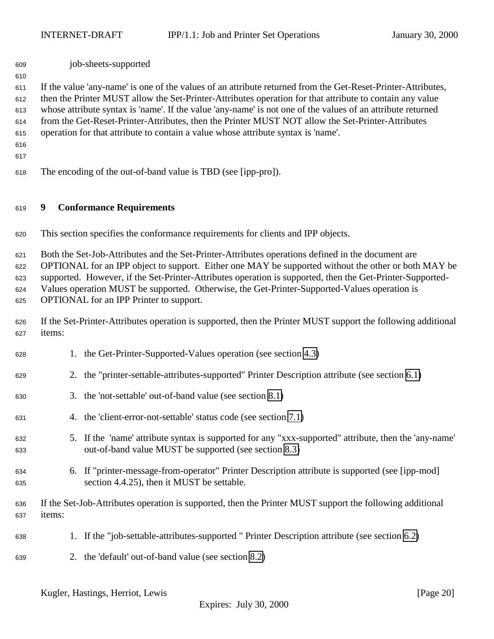<span id="page-19-0"></span>job-sheets-supported

 If the value 'any-name' is one of the values of an attribute returned from the Get-Reset-Printer-Attributes, then the Printer MUST allow the Set-Printer-Attributes operation for that attribute to contain any value whose attribute syntax is 'name'. If the value 'any-name' is not one of the values of an attribute returned from the Get-Reset-Printer-Attributes, then the Printer MUST NOT allow the Set-Printer-Attributes operation for that attribute to contain a value whose attribute syntax is 'name'.

 

The encoding of the out-of-band value is TBD (see [ipp-pro]).

#### **9 Conformance Requirements**

This section specifies the conformance requirements for clients and IPP objects.

 Both the Set-Job-Attributes and the Set-Printer-Attributes operations defined in the document are OPTIONAL for an IPP object to support. Either one MAY be supported without the other or both MAY be supported. However, if the Set-Printer-Attributes operation is supported, then the Get-Printer-Supported- Values operation MUST be supported. Otherwise, the Get-Printer-Supported-Values operation is OPTIONAL for an IPP Printer to support.

 If the Set-Printer-Attributes operation is supported, then the Printer MUST support the following additional items:

- 1. the Get-Printer-Supported-Values operation (see section [4.3\)](#page-13-0) 2. the "printer-settable-attributes-supported" Printer Description attribute (see section [6.1\)](#page-16-0)
- 3. the 'not-settable' out-of-band value (see section [8.1\)](#page-18-0)
- 4. the 'client-error-not-settable' status code (see section [7.1\)](#page-17-0)
- 5. If the 'name' attribute syntax is supported for any "xxx-supported" attribute, then the 'any-name' out-of-band value MUST be supported (see section [8.3\)](#page-18-0)
- 6. If "printer-message-from-operator" Printer Description attribute is supported (see [ipp-mod] section 4.4.25), then it MUST be settable.
- If the Set-Job-Attributes operation is supported, then the Printer MUST support the following additional items:
- 1. If the "job-settable-attributes-supported " Printer Description attribute (see section [6.2\)](#page-16-0)
- 2. the 'default' out-of-band value (see section [8.2\)](#page-18-0)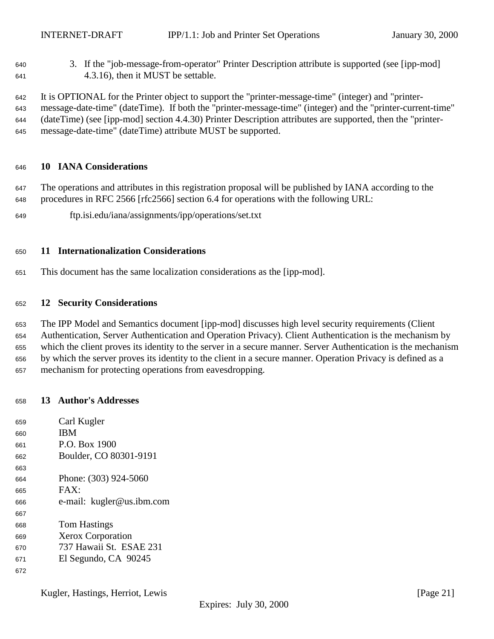<span id="page-20-0"></span> 3. If the "job-message-from-operator" Printer Description attribute is supported (see [ipp-mod] 4.3.16), then it MUST be settable.

 It is OPTIONAL for the Printer object to support the "printer-message-time" (integer) and "printer- message-date-time" (dateTime). If both the "printer-message-time" (integer) and the "printer-current-time" (dateTime) (see [ipp-mod] section 4.4.30) Printer Description attributes are supported, then the "printer-message-date-time" (dateTime) attribute MUST be supported.

#### **10 IANA Considerations**

 The operations and attributes in this registration proposal will be published by IANA according to the procedures in RFC 2566 [rfc2566] section 6.4 for operations with the following URL:

ftp.isi.edu/iana/assignments/ipp/operations/set.txt

#### **11 Internationalization Considerations**

This document has the same localization considerations as the [ipp-mod].

#### **12 Security Considerations**

 The IPP Model and Semantics document [ipp-mod] discusses high level security requirements (Client Authentication, Server Authentication and Operation Privacy). Client Authentication is the mechanism by which the client proves its identity to the server in a secure manner. Server Authentication is the mechanism by which the server proves its identity to the client in a secure manner. Operation Privacy is defined as a mechanism for protecting operations from eavesdropping.

#### **13 Author's Addresses**

| 659 | Carl Kugler               |
|-----|---------------------------|
| 660 | <b>IBM</b>                |
| 661 | P.O. Box 1900             |
| 662 | Boulder, CO 80301-9191    |
| 663 |                           |
| 664 | Phone: (303) 924-5060     |
| 665 | FAX:                      |
| 666 | e-mail: kugler@us.ibm.com |
| 667 |                           |
| 668 | <b>Tom Hastings</b>       |
| 669 | <b>Xerox Corporation</b>  |
| 670 | 737 Hawaii St. ESAE 231   |
| 671 | El Segundo, CA 90245      |
| 672 |                           |

Kugler, Hastings, Herriot, Lewis [Page 21]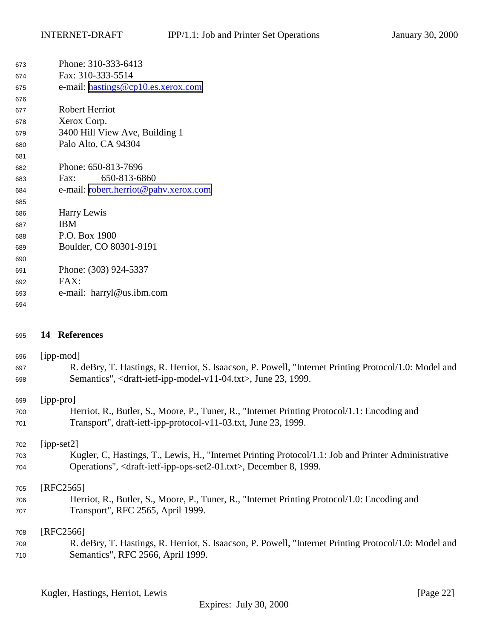<span id="page-21-0"></span>

| Phone: 310-333-6413                   |
|---------------------------------------|
| Fax: 310-333-5514                     |
| e-mail: hastings@cp10.es.xerox.com    |
|                                       |
| <b>Robert Herriot</b>                 |
| Xerox Corp.                           |
| 3400 Hill View Ave, Building 1        |
| Palo Alto, CA 94304                   |
|                                       |
| Phone: 650-813-7696                   |
| 650-813-6860<br>Fax:                  |
| e-mail: robert.herriot@pahv.xerox.com |
|                                       |
| Harry Lewis                           |
| <b>IBM</b>                            |
| P.O. Box 1900                         |
| Boulder, CO 80301-9191                |
|                                       |
| Phone: (303) 924-5337                 |
| FAX:                                  |
| e-mail: harryl@us.ibm.com             |
|                                       |
|                                       |

# **14 References**

| 696 | [ipp-mod]                                                                                             |
|-----|-------------------------------------------------------------------------------------------------------|
| 697 | R. deBry, T. Hastings, R. Herriot, S. Isaacson, P. Powell, "Internet Printing Protocol/1.0: Model and |
| 698 | Semantics", <draft-ietf-ipp-model-v11-04.txt>, June 23, 1999.</draft-ietf-ipp-model-v11-04.txt>       |
|     |                                                                                                       |
| 699 | $[$ ipp-pro $]$                                                                                       |
| 700 | Herriot, R., Butler, S., Moore, P., Tuner, R., "Internet Printing Protocol/1.1: Encoding and          |
| 701 | Transport", draft-ietf-ipp-protocol-v11-03.txt, June 23, 1999.                                        |
|     |                                                                                                       |
| 702 | $[ipp-set2]$                                                                                          |
| 703 | Kugler, C, Hastings, T., Lewis, H., "Internet Printing Protocol/1.1: Job and Printer Administrative   |
| 704 | Operations", <draft-ietf-ipp-ops-set2-01.txt>, December 8, 1999.</draft-ietf-ipp-ops-set2-01.txt>     |
|     |                                                                                                       |
| 705 | [RFC2565]                                                                                             |
| 706 | Herriot, R., Butler, S., Moore, P., Tuner, R., "Internet Printing Protocol/1.0: Encoding and          |
| 707 | Transport", RFC 2565, April 1999.                                                                     |
|     |                                                                                                       |
| 708 | [RFC2566]                                                                                             |
| 709 | R. deBry, T. Hastings, R. Herriot, S. Isaacson, P. Powell, "Internet Printing Protocol/1.0: Model and |
| 710 | Semantics", RFC 2566, April 1999.                                                                     |
|     |                                                                                                       |
|     |                                                                                                       |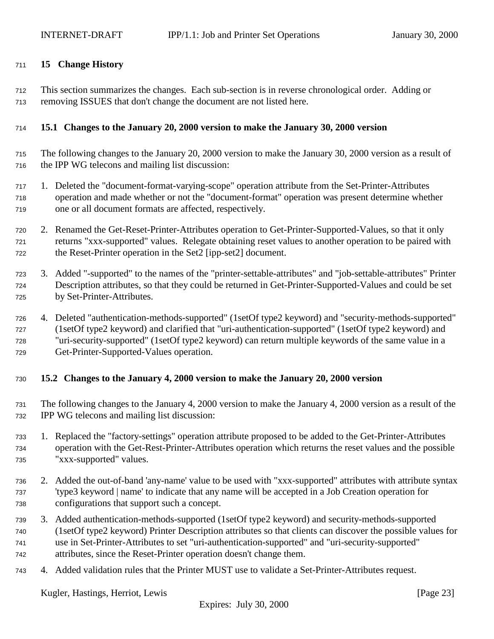### <span id="page-22-0"></span>**15 Change History**

 This section summarizes the changes. Each sub-section is in reverse chronological order. Adding or removing ISSUES that don't change the document are not listed here.

## **15.1 Changes to the January 20, 2000 version to make the January 30, 2000 version**

- The following changes to the January 20, 2000 version to make the January 30, 2000 version as a result of the IPP WG telecons and mailing list discussion:
- 1. Deleted the "document-format-varying-scope" operation attribute from the Set-Printer-Attributes operation and made whether or not the "document-format" operation was present determine whether one or all document formats are affected, respectively.
- 2. Renamed the Get-Reset-Printer-Attributes operation to Get-Printer-Supported-Values, so that it only returns "xxx-supported" values. Relegate obtaining reset values to another operation to be paired with the Reset-Printer operation in the Set2 [ipp-set2] document.
- 3. Added "-supported" to the names of the "printer-settable-attributes" and "job-settable-attributes" Printer Description attributes, so that they could be returned in Get-Printer-Supported-Values and could be set by Set-Printer-Attributes.
- 4. Deleted "authentication-methods-supported" (1setOf type2 keyword) and "security-methods-supported" (1setOf type2 keyword) and clarified that "uri-authentication-supported" (1setOf type2 keyword) and "uri-security-supported" (1setOf type2 keyword) can return multiple keywords of the same value in a Get-Printer-Supported-Values operation.

## **15.2 Changes to the January 4, 2000 version to make the January 20, 2000 version**

- The following changes to the January 4, 2000 version to make the January 4, 2000 version as a result of the IPP WG telecons and mailing list discussion:
- 1. Replaced the "factory-settings" operation attribute proposed to be added to the Get-Printer-Attributes operation with the Get-Rest-Printer-Attributes operation which returns the reset values and the possible "xxx-supported" values.
- 2. Added the out-of-band 'any-name' value to be used with "xxx-supported" attributes with attribute syntax 'type3 keyword | name' to indicate that any name will be accepted in a Job Creation operation for configurations that support such a concept.
- 3. Added authentication-methods-supported (1setOf type2 keyword) and security-methods-supported (1setOf type2 keyword) Printer Description attributes so that clients can discover the possible values for use in Set-Printer-Attributes to set "uri-authentication-supported" and "uri-security-supported"
- attributes, since the Reset-Printer operation doesn't change them.
- 4. Added validation rules that the Printer MUST use to validate a Set-Printer-Attributes request.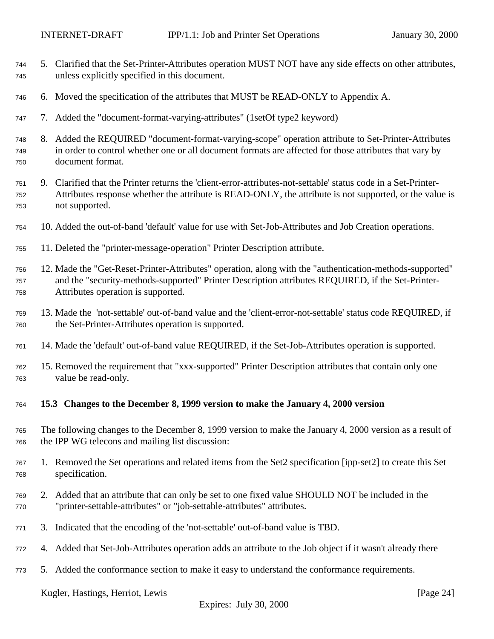- <span id="page-23-0"></span> 5. Clarified that the Set-Printer-Attributes operation MUST NOT have any side effects on other attributes, unless explicitly specified in this document.
- 6. Moved the specification of the attributes that MUST be READ-ONLY to Appendix A.
- 7. Added the "document-format-varying-attributes" (1setOf type2 keyword)
- 8. Added the REQUIRED "document-format-varying-scope" operation attribute to Set-Printer-Attributes in order to control whether one or all document formats are affected for those attributes that vary by document format.
- 9. Clarified that the Printer returns the 'client-error-attributes-not-settable' status code in a Set-Printer- Attributes response whether the attribute is READ-ONLY, the attribute is not supported, or the value is not supported.
- 10. Added the out-of-band 'default' value for use with Set-Job-Attributes and Job Creation operations.
- 11. Deleted the "printer-message-operation" Printer Description attribute.
- 12. Made the "Get-Reset-Printer-Attributes" operation, along with the "authentication-methods-supported" and the "security-methods-supported" Printer Description attributes REQUIRED, if the Set-Printer-Attributes operation is supported.
- 13. Made the 'not-settable' out-of-band value and the 'client-error-not-settable' status code REQUIRED, if the Set-Printer-Attributes operation is supported.
- 14. Made the 'default' out-of-band value REQUIRED, if the Set-Job-Attributes operation is supported.
- 15. Removed the requirement that "xxx-supported" Printer Description attributes that contain only one value be read-only.
- **15.3 Changes to the December 8, 1999 version to make the January 4, 2000 version**
- The following changes to the December 8, 1999 version to make the January 4, 2000 version as a result of the IPP WG telecons and mailing list discussion:
- 1. Removed the Set operations and related items from the Set2 specification [ipp-set2] to create this Set specification.
- 2. Added that an attribute that can only be set to one fixed value SHOULD NOT be included in the "printer-settable-attributes" or "job-settable-attributes" attributes.
- 3. Indicated that the encoding of the 'not-settable' out-of-band value is TBD.
- 4. Added that Set-Job-Attributes operation adds an attribute to the Job object if it wasn't already there
- 5. Added the conformance section to make it easy to understand the conformance requirements.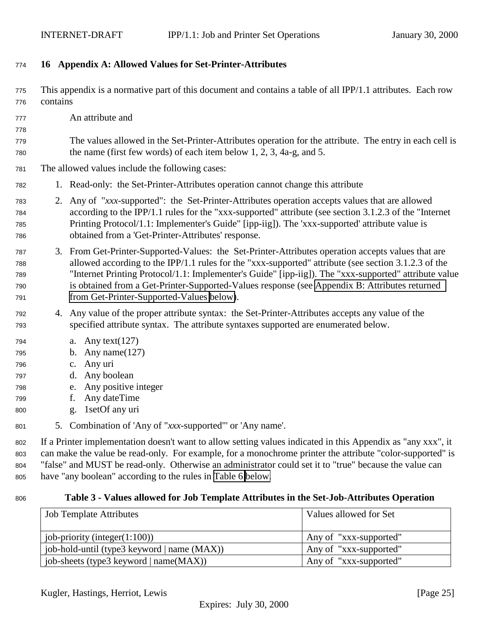## <span id="page-24-0"></span>**16 Appendix A: Allowed Values for Set-Printer-Attributes**

- This appendix is a normative part of this document and contains a table of all IPP/1.1 attributes. Each row contains
- An attribute and

- The values allowed in the Set-Printer-Attributes operation for the attribute. The entry in each cell is the name (first few words) of each item below 1, 2, 3, 4a-g, and 5.
- The allowed values include the following cases:
- 1. Read-only: the Set-Printer-Attributes operation cannot change this attribute
- 2. Any of "*xxx*-supported": the Set-Printer-Attributes operation accepts values that are allowed according to the IPP/1.1 rules for the "xxx-supported" attribute (see section 3.1.2.3 of the "Internet Printing Protocol/1.1: Implementer's Guide" [ipp-iig]). The 'xxx-supported' attribute value is obtained from a 'Get-Printer-Attributes' response.
- 3. From Get-Printer-Supported-Values: the Set-Printer-Attributes operation accepts values that are allowed according to the IPP/1.1 rules for the "xxx-supported" attribute (see section 3.1.2.3 of the "Internet Printing Protocol/1.1: Implementer's Guide" [ipp-iig]). The "xxx-supported" attribute value is obtained from a Get-Printer-Supported-Values response (see [Appendix B: Attributes returned](#page-28-0) [from Get-Printer-Supported-Values below\)](#page-28-0).
- 4. Any value of the proper attribute syntax: the Set-Printer-Attributes accepts any value of the specified attribute syntax. The attribute syntaxes supported are enumerated below.
- a. Any text(127)
- b. Any name(127)
- c. Any uri
- d. Any boolean
- e. Any positive integer
- f. Any dateTime
- g. 1setOf any uri
- 5. Combination of 'Any of "*xxx*-supported"' or 'Any name'.

 If a Printer implementation doesn't want to allow setting values indicated in this Appendix as "any xxx", it can make the value be read-only. For example, for a monochrome printer the attribute "color-supported" is "false" and MUST be read-only. Otherwise an administrator could set it to "true" because the value can have "any boolean" according to the rules in [Table 6 below.](#page-26-0)

#### **Table 3 - Values allowed for Job Template Attributes in the Set-Job-Attributes Operation**

| <b>Job Template Attributes</b>                              | Values allowed for Set |
|-------------------------------------------------------------|------------------------|
|                                                             |                        |
| job-priority (integer $(1:100)$ )                           | Any of "xxx-supported" |
| job-hold-until (type3 keyword   name (MAX))                 | Any of "xxx-supported" |
| $\log$ job-sheets (type3 keyword $ \text{name}(MAX)\rangle$ | Any of "xxx-supported" |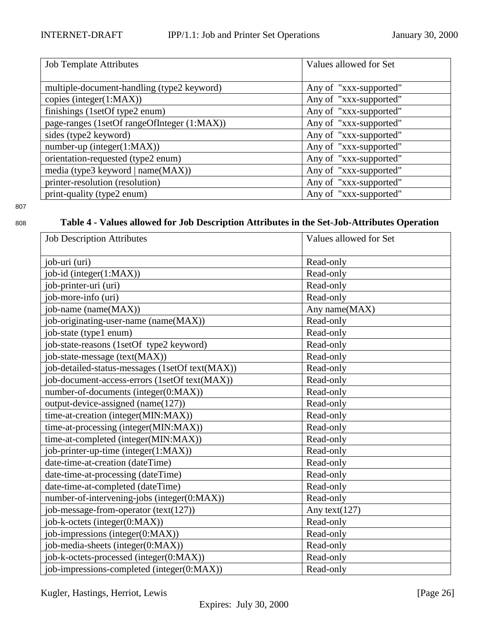<span id="page-25-0"></span>

| <b>Job Template Attributes</b>              | Values allowed for Set |
|---------------------------------------------|------------------------|
|                                             |                        |
| multiple-document-handling (type2 keyword)  | Any of "xxx-supported" |
| copies (integer(1:MAX))                     | Any of "xxx-supported" |
| finishings (1setOf type2 enum)              | Any of "xxx-supported" |
| page-ranges (1setOf rangeOfInteger (1:MAX)) | Any of "xxx-supported" |
| sides (type2 keyword)                       | Any of "xxx-supported" |
| $number-up (integer(1:MAX))$                | Any of "xxx-supported" |
| orientation-requested (type2 enum)          | Any of "xxx-supported" |
| media (type3 keyword   name(MAX))           | Any of "xxx-supported" |
| printer-resolution (resolution)             | Any of "xxx-supported" |
| print-quality (type2 enum)                  | Any of "xxx-supported" |

# <sup>808</sup> **Table 4 - Values allowed for Job Description Attributes in the Set-Job-Attributes Operation**

| <b>Job Description Attributes</b>               | Values allowed for Set |
|-------------------------------------------------|------------------------|
| job-uri (uri)                                   | Read-only              |
| job-id (integer(1:MAX))                         | Read-only              |
| job-printer-uri (uri)                           | Read-only              |
| job-more-info (uri)                             | Read-only              |
| job-name (name(MAX))                            | Any name(MAX)          |
| job-originating-user-name (name(MAX))           | Read-only              |
| job-state (type1 enum)                          | Read-only              |
| job-state-reasons (1setOf type2 keyword)        | Read-only              |
| job-state-message (text(MAX))                   | Read-only              |
| job-detailed-status-messages (1setOf text(MAX)) | Read-only              |
| job-document-access-errors (1setOf text(MAX))   | Read-only              |
| number-of-documents (integer(0:MAX))            | Read-only              |
| output-device-assigned (name(127))              | Read-only              |
| time-at-creation (integer(MIN:MAX))             | Read-only              |
| time-at-processing (integer(MIN:MAX))           | Read-only              |
| time-at-completed (integer(MIN:MAX))            | Read-only              |
| job-printer-up-time (integer(1:MAX))            | Read-only              |
| date-time-at-creation (dateTime)                | Read-only              |
| date-time-at-processing (dateTime)              | Read-only              |
| date-time-at-completed (dateTime)               | Read-only              |
| number-of-intervening-jobs (integer(0:MAX))     | Read-only              |
| job-message-from-operator (text(127))           | Any text $(127)$       |
| job-k-octets (integer(0:MAX))                   | Read-only              |
| job-impressions (integer(0:MAX))                | Read-only              |
| job-media-sheets (integer(0:MAX))               | Read-only              |
| job-k-octets-processed (integer(0:MAX))         | Read-only              |
| job-impressions-completed (integer(0:MAX))      | Read-only              |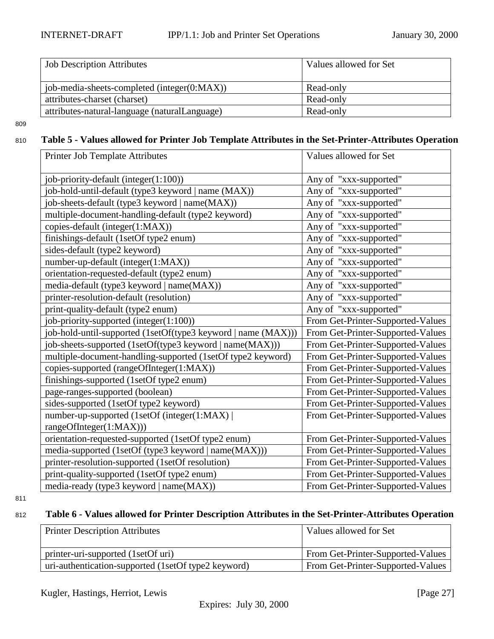<span id="page-26-0"></span>

| <b>Job Description Attributes</b>             | Values allowed for Set |
|-----------------------------------------------|------------------------|
| job-media-sheets-completed (integer(0:MAX))   | Read-only              |
| attributes-charset (charset)                  | Read-only              |
| attributes-natural-language (naturalLanguage) | Read-only              |

# <sup>810</sup> **Table 5 - Values allowed for Printer Job Template Attributes in the Set-Printer-Attributes Operation**

| Printer Job Template Attributes                               | Values allowed for Set            |
|---------------------------------------------------------------|-----------------------------------|
| job-priority-default (integer(1:100))                         | Any of "xxx-supported"            |
| job-hold-until-default (type3 keyword   name (MAX))           | Any of "xxx-supported"            |
| job-sheets-default (type3 keyword   name(MAX))                | Any of "xxx-supported"            |
| multiple-document-handling-default (type2 keyword)            | Any of "xxx-supported"            |
| copies-default (integer(1:MAX))                               | Any of "xxx-supported"            |
| finishings-default (1setOf type2 enum)                        | Any of "xxx-supported"            |
| sides-default (type2 keyword)                                 | Any of "xxx-supported"            |
| number-up-default (integer(1:MAX))                            | Any of "xxx-supported"            |
| orientation-requested-default (type2 enum)                    | Any of "xxx-supported"            |
| media-default (type3 keyword   name(MAX))                     | Any of "xxx-supported"            |
| printer-resolution-default (resolution)                       | Any of "xxx-supported"            |
| print-quality-default (type2 enum)                            | Any of "xxx-supported"            |
| job-priority-supported (integer(1:100))                       | From Get-Printer-Supported-Values |
| job-hold-until-supported (1setOf(type3 keyword   name (MAX))) | From Get-Printer-Supported-Values |
| job-sheets-supported (1setOf(type3 keyword   name(MAX)))      | From Get-Printer-Supported-Values |
| multiple-document-handling-supported (1setOf type2 keyword)   | From Get-Printer-Supported-Values |
| copies-supported (rangeOfInteger(1:MAX))                      | From Get-Printer-Supported-Values |
| finishings-supported (1setOf type2 enum)                      | From Get-Printer-Supported-Values |
| page-ranges-supported (boolean)                               | From Get-Printer-Supported-Values |
| sides-supported (1setOf type2 keyword)                        | From Get-Printer-Supported-Values |
| number-up-supported (1setOf (integer(1:MAX)                   | From Get-Printer-Supported-Values |
| rangeOfInteger(1:MAX)))                                       |                                   |
| orientation-requested-supported (1setOf type2 enum)           | From Get-Printer-Supported-Values |
| media-supported (1setOf (type3 keyword   name(MAX)))          | From Get-Printer-Supported-Values |
| printer-resolution-supported (1setOf resolution)              | From Get-Printer-Supported-Values |
| print-quality-supported (1setOf type2 enum)                   | From Get-Printer-Supported-Values |
| media-ready (type3 keyword   name(MAX))                       | From Get-Printer-Supported-Values |

811

# <sup>812</sup> **Table 6 - Values allowed for Printer Description Attributes in the Set-Printer-Attributes Operation**

| <b>Printer Description Attributes</b>               | Values allowed for Set                   |
|-----------------------------------------------------|------------------------------------------|
|                                                     |                                          |
| printer-uri-supported (1setOf uri)                  | <b>From Get-Printer-Supported-Values</b> |
| uri-authentication-supported (1setOf type2 keyword) | From Get-Printer-Supported-Values        |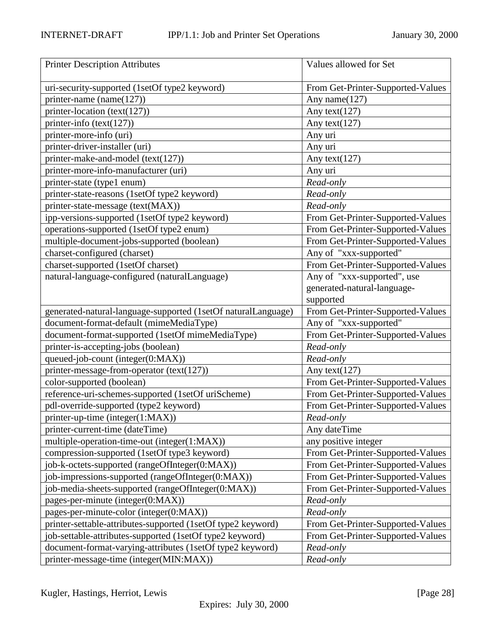| <b>Printer Description Attributes</b>                         | Values allowed for Set            |
|---------------------------------------------------------------|-----------------------------------|
| uri-security-supported (1setOf type2 keyword)                 | From Get-Printer-Supported-Values |
| printer-name (name $(127)$ )                                  | Any name(127)                     |
| printer-location (text(127))                                  | Any text $(127)$                  |
| printer-info $(text(127))$                                    | Any text(127)                     |
| printer-more-info (uri)                                       | Any uri                           |
| printer-driver-installer (uri)                                | Any uri                           |
| printer-make-and-model (text(127))                            | Any text(127)                     |
| printer-more-info-manufacturer (uri)                          | Any uri                           |
| printer-state (type1 enum)                                    | Read-only                         |
| printer-state-reasons (1setOf type2 keyword)                  | Read-only                         |
| printer-state-message (text(MAX))                             | Read-only                         |
| ipp-versions-supported (1setOf type2 keyword)                 | From Get-Printer-Supported-Values |
| operations-supported (1setOf type2 enum)                      | From Get-Printer-Supported-Values |
| multiple-document-jobs-supported (boolean)                    | From Get-Printer-Supported-Values |
| charset-configured (charset)                                  | Any of "xxx-supported"            |
| charset-supported (1setOf charset)                            | From Get-Printer-Supported-Values |
| natural-language-configured (naturalLanguage)                 | Any of "xxx-supported", use       |
|                                                               | generated-natural-language-       |
|                                                               | supported                         |
| generated-natural-language-supported (1setOf naturalLanguage) | From Get-Printer-Supported-Values |
| document-format-default (mimeMediaType)                       | Any of "xxx-supported"            |
| document-format-supported (1setOf mimeMediaType)              | From Get-Printer-Supported-Values |
| printer-is-accepting-jobs (boolean)                           | Read-only                         |
| queued-job-count (integer(0:MAX))                             | Read-only                         |
| printer-message-from-operator (text(127))                     | Any text $(127)$                  |
| color-supported (boolean)                                     | From Get-Printer-Supported-Values |
| reference-uri-schemes-supported (1setOf uriScheme)            | From Get-Printer-Supported-Values |
| pdl-override-supported (type2 keyword)                        | From Get-Printer-Supported-Values |
| printer-up-time (integer(1:MAX))                              | Read-only                         |
| printer-current-time (dateTime)                               | Any dateTime                      |
| multiple-operation-time-out (integer(1:MAX))                  | any positive integer              |
| compression-supported (1setOf type3 keyword)                  | From Get-Printer-Supported-Values |
| job-k-octets-supported (rangeOfInteger(0:MAX))                | From Get-Printer-Supported-Values |
| job-impressions-supported (rangeOfInteger(0:MAX))             | From Get-Printer-Supported-Values |
| job-media-sheets-supported (rangeOfInteger(0:MAX))            | From Get-Printer-Supported-Values |
| pages-per-minute (integer(0:MAX))                             | Read-only                         |
| pages-per-minute-color (integer(0:MAX))                       | Read-only                         |
| printer-settable-attributes-supported (1setOf type2 keyword)  | From Get-Printer-Supported-Values |
| job-settable-attributes-supported (1setOf type2 keyword)      | From Get-Printer-Supported-Values |
| document-format-varying-attributes (1setOf type2 keyword)     | Read-only                         |
| printer-message-time (integer(MIN:MAX))                       | Read-only                         |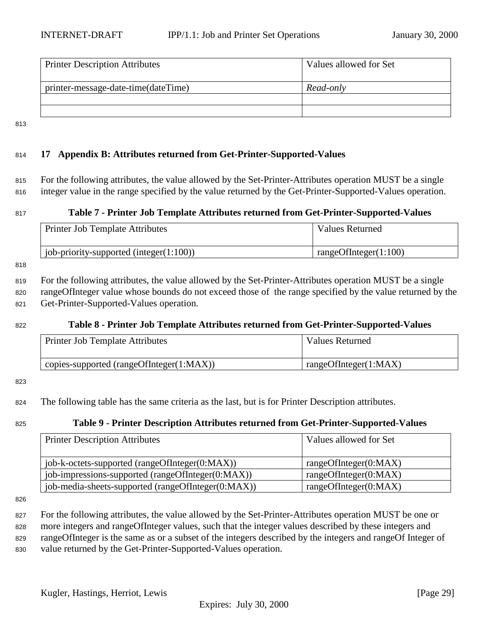<span id="page-28-0"></span>

| <b>Printer Description Attributes</b> | Values allowed for Set |
|---------------------------------------|------------------------|
| printer-message-date-time(dateTime)   | Read-only              |
|                                       |                        |
|                                       |                        |

813

## <sup>814</sup> **17 Appendix B: Attributes returned from Get-Printer-Supported-Values**

<sup>815</sup> For the following attributes, the value allowed by the Set-Printer-Attributes operation MUST be a single <sup>816</sup> integer value in the range specified by the value returned by the Get-Printer-Supported-Values operation.

#### <sup>817</sup> **Table 7 - Printer Job Template Attributes returned from Get-Printer-Supported-Values**

| <b>Printer Job Template Attributes</b>        | <b>Values Returned</b> |
|-----------------------------------------------|------------------------|
| $\mu$ job-priority-supported (integer(1:100)) | rangeOfInteger(1:100)  |

818

<sup>819</sup> For the following attributes, the value allowed by the Set-Printer-Attributes operation MUST be a single <sup>820</sup> rangeOfInteger value whose bounds do not exceed those of the range specified by the value returned by the <sup>821</sup> Get-Printer-Supported-Values operation.

#### <sup>822</sup> **Table 8 - Printer Job Template Attributes returned from Get-Printer-Supported-Values**

| <b>Printer Job Template Attributes</b>   | Values Returned       |
|------------------------------------------|-----------------------|
| copies-supported (rangeOfInteger(1:MAX)) | rangeOfInteger(1:MAX) |

#### 823

<sup>824</sup> The following table has the same criteria as the last, but is for Printer Description attributes.

#### <sup>825</sup> **Table 9 - Printer Description Attributes returned from Get-Printer-Supported-Values**

| <b>Printer Description Attributes</b>              | Values allowed for Set |
|----------------------------------------------------|------------------------|
| job-k-octets-supported (rangeOfInteger(0:MAX))     | rangeOfInteger(0:MAX)  |
| job-impressions-supported (rangeOfInteger(0:MAX))  | rangeOfInteger(0:MAX)  |
| job-media-sheets-supported (rangeOfInteger(0:MAX)) | rangeOfInteger(0:MAX)  |

826

827 For the following attributes, the value allowed by the Set-Printer-Attributes operation MUST be one or more integers and rangeOfInteger values, such that the integer values described by these integers and rangeOfInteger is the same as or a subset of the integers described by the integers and rangeOf Integer of value returned by the Get-Printer-Supported-Values operation.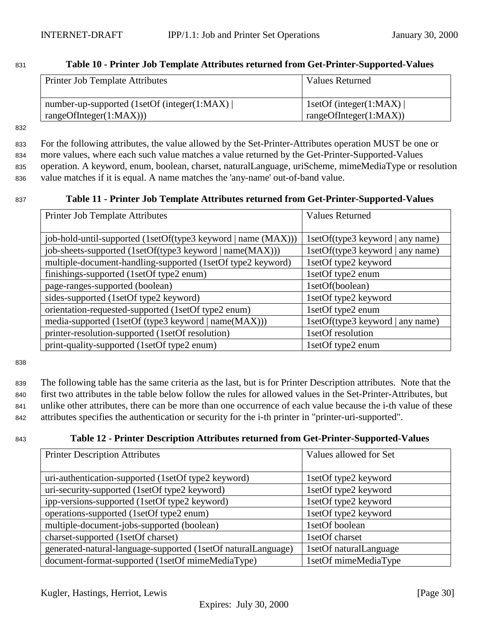### <span id="page-29-0"></span><sup>831</sup> **Table 10 - Printer Job Template Attributes returned from Get-Printer-Supported-Values**

| Printer Job Template Attributes              | Values Returned                |
|----------------------------------------------|--------------------------------|
| number-up-supported (1setOf (integer(1:MAX)) | 1setOf (integer(1:MAX) $\vert$ |
| rangeOfInteger(1:MAX))                       | rangeOfInteger(1:MAX))         |

832

 For the following attributes, the value allowed by the Set-Printer-Attributes operation MUST be one or more values, where each such value matches a value returned by the Get-Printer-Supported-Values operation. A keyword, enum, boolean, charset, naturalLanguage, uriScheme, mimeMediaType or resolution value matches if it is equal. A name matches the 'any-name' out-of-band value.

#### <sup>837</sup> **Table 11 - Printer Job Template Attributes returned from Get-Printer-Supported-Values**

| <b>Printer Job Template Attributes</b>                        | <b>Values Returned</b>           |
|---------------------------------------------------------------|----------------------------------|
|                                                               |                                  |
| job-hold-until-supported (1setOf(type3 keyword   name (MAX))) | 1setOf(type3 keyword   any name) |
| job-sheets-supported (1setOf(type3 keyword   name(MAX)))      | 1setOf(type3 keyword   any name) |
| multiple-document-handling-supported (1setOf type2 keyword)   | 1setOf type2 keyword             |
| finishings-supported (1setOf type2 enum)                      | 1setOf type2 enum                |
| page-ranges-supported (boolean)                               | 1setOf(boolean)                  |
| sides-supported (1setOf type2 keyword)                        | 1setOf type2 keyword             |
| orientation-requested-supported (1setOf type2 enum)           | 1setOf type2 enum                |
| media-supported (1setOf (type3 keyword   name(MAX)))          | 1setOf(type3 keyword   any name) |
| printer-resolution-supported (1setOf resolution)              | 1setOf resolution                |
| print-quality-supported (1setOf type2 enum)                   | 1setOf type2 enum                |

838

 The following table has the same criteria as the last, but is for Printer Description attributes. Note that the first two attributes in the table below follow the rules for allowed values in the Set-Printer-Attributes, but unlike other attributes, there can be more than one occurrence of each value because the i-th value of these attributes specifies the authentication or security for the i-th printer in "printer-uri-supported".

## <sup>843</sup> **Table 12 - Printer Description Attributes returned from Get-Printer-Supported-Values**

| <b>Printer Description Attributes</b>                         | Values allowed for Set |
|---------------------------------------------------------------|------------------------|
|                                                               |                        |
| uri-authentication-supported (1setOf type2 keyword)           | 1setOf type2 keyword   |
| uri-security-supported (1setOf type2 keyword)                 | 1setOf type2 keyword   |
| ipp-versions-supported (1setOf type2 keyword)                 | 1setOf type2 keyword   |
| operations-supported (1setOf type2 enum)                      | 1setOf type2 keyword   |
| multiple-document-jobs-supported (boolean)                    | 1setOf boolean         |
| charset-supported (1setOf charset)                            | 1setOf charset         |
| generated-natural-language-supported (1setOf naturalLanguage) | 1setOf naturalLanguage |
| document-format-supported (1setOf mimeMediaType)              | 1setOf mimeMediaType   |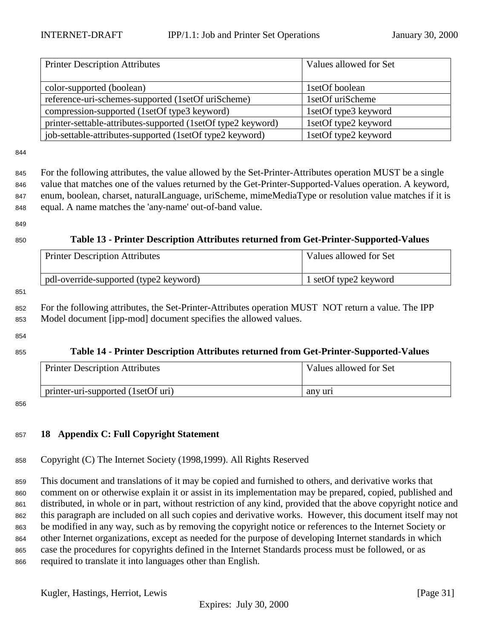<span id="page-30-0"></span>

| <b>Printer Description Attributes</b>                        | Values allowed for Set |
|--------------------------------------------------------------|------------------------|
|                                                              |                        |
| color-supported (boolean)                                    | 1setOf boolean         |
| reference-uri-schemes-supported (1setOf uriScheme)           | 1setOf uriScheme       |
| compression-supported (1setOf type3 keyword)                 | 1setOf type3 keyword   |
| printer-settable-attributes-supported (1setOf type2 keyword) | 1setOf type2 keyword   |
| job-settable-attributes-supported (1setOf type2 keyword)     | 1setOf type2 keyword   |

 For the following attributes, the value allowed by the Set-Printer-Attributes operation MUST be a single value that matches one of the values returned by the Get-Printer-Supported-Values operation. A keyword, enum, boolean, charset, naturalLanguage, uriScheme, mimeMediaType or resolution value matches if it is equal. A name matches the 'any-name' out-of-band value.

#### 

# **Table 13 - Printer Description Attributes returned from Get-Printer-Supported-Values**

| <b>Printer Description Attributes</b>  | Values allowed for Set |
|----------------------------------------|------------------------|
| pdl-override-supported (type2 keyword) | 1 setOf type2 keyword  |

#### 

 For the following attributes, the Set-Printer-Attributes operation MUST NOT return a value. The IPP Model document [ipp-mod] document specifies the allowed values.

#### 

#### **Table 14 - Printer Description Attributes returned from Get-Printer-Supported-Values**

| <b>Printer Description Attributes</b> | Values allowed for Set |
|---------------------------------------|------------------------|
| printer-uri-supported (1setOf uri)    | any uri                |

#### 

## **18 Appendix C: Full Copyright Statement**

Copyright (C) The Internet Society (1998,1999). All Rights Reserved

 This document and translations of it may be copied and furnished to others, and derivative works that comment on or otherwise explain it or assist in its implementation may be prepared, copied, published and distributed, in whole or in part, without restriction of any kind, provided that the above copyright notice and this paragraph are included on all such copies and derivative works. However, this document itself may not be modified in any way, such as by removing the copyright notice or references to the Internet Society or other Internet organizations, except as needed for the purpose of developing Internet standards in which case the procedures for copyrights defined in the Internet Standards process must be followed, or as required to translate it into languages other than English.